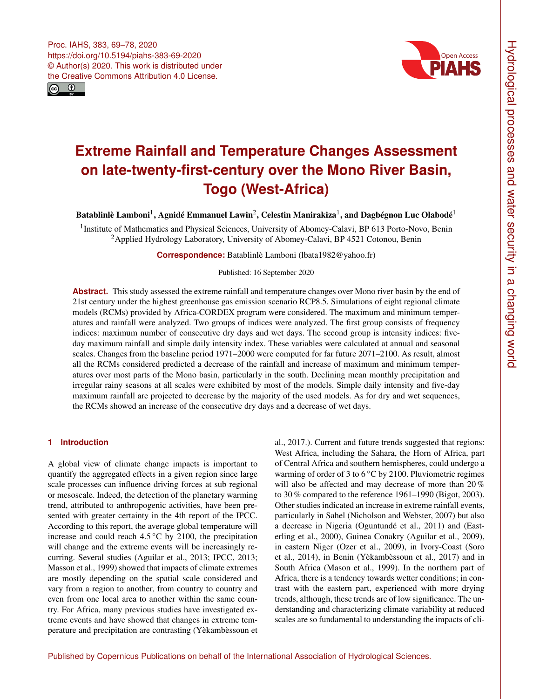



# **Extreme Rainfall and Temperature Changes Assessment on late-twenty-first-century over the Mono River Basin, Togo (West-Africa)**

Batablinlè Lamboni<sup>[1](#page-0-0)</sup>, Agnidé Emmanuel Lawin<sup>[2](#page-0-0)</sup>, Celestin Manirakiza<sup>1</sup>, and Dagbégnon Luc Olabodé<sup>1</sup>

<sup>1</sup>Institute of Mathematics and Physical Sciences, University of Abomey-Calavi, BP 613 Porto-Novo, Benin <sup>2</sup> Applied Hydrology Laboratory, University of Abomey-Calavi, BP 4521 Cotonou, Benin

**Correspondence:** Batablinlè Lamboni (lbata1982@yahoo.fr)

### Published: 16 September 2020

**Abstract.** This study assessed the extreme rainfall and temperature changes over Mono river basin by the end of 21st century under the highest greenhouse gas emission scenario RCP8.5. Simulations of eight regional climate models (RCMs) provided by Africa-CORDEX program were considered. The maximum and minimum temperatures and rainfall were analyzed. Two groups of indices were analyzed. The first group consists of frequency indices: maximum number of consecutive dry days and wet days. The second group is intensity indices: fiveday maximum rainfall and simple daily intensity index. These variables were calculated at annual and seasonal scales. Changes from the baseline period 1971–2000 were computed for far future 2071–2100. As result, almost all the RCMs considered predicted a decrease of the rainfall and increase of maximum and minimum temperatures over most parts of the Mono basin, particularly in the south. Declining mean monthly precipitation and irregular rainy seasons at all scales were exhibited by most of the models. Simple daily intensity and five-day maximum rainfall are projected to decrease by the majority of the used models. As for dry and wet sequences, the RCMs showed an increase of the consecutive dry days and a decrease of wet days.

## <span id="page-0-0"></span>**1 Introduction**

A global view of climate change impacts is important to quantify the aggregated effects in a given region since large scale processes can influence driving forces at sub regional or mesoscale. Indeed, the detection of the planetary warming trend, attributed to anthropogenic activities, have been presented with greater certainty in the 4th report of the IPCC. According to this report, the average global temperature will increase and could reach  $4.5\,^{\circ}\text{C}$  by 2100, the precipitation will change and the extreme events will be increasingly recurring. Several studies (Aguilar et al., 2013; IPCC, 2013; Masson et al., 1999) showed that impacts of climate extremes are mostly depending on the spatial scale considered and vary from a region to another, from country to country and even from one local area to another within the same country. For Africa, many previous studies have investigated extreme events and have showed that changes in extreme temperature and precipitation are contrasting (Yèkambèssoun et

al., 2017.). Current and future trends suggested that regions: West Africa, including the Sahara, the Horn of Africa, part of Central Africa and southern hemispheres, could undergo a warming of order of 3 to  $6^{\circ}$ C by 2100. Pluviometric regimes will also be affected and may decrease of more than 20 % to 30 % compared to the reference 1961–1990 (Bigot, 2003). Other studies indicated an increase in extreme rainfall events, particularly in Sahel (Nicholson and Webster, 2007) but also a decrease in Nigeria (Oguntundé et al., 2011) and (Easterling et al., 2000), Guinea Conakry (Aguilar et al., 2009), in eastern Niger (Ozer et al., 2009), in Ivory-Coast (Soro et al., 2014), in Benin (Yèkambèssoun et al., 2017) and in South Africa (Mason et al., 1999). In the northern part of Africa, there is a tendency towards wetter conditions; in contrast with the eastern part, experienced with more drying trends, although, these trends are of low significance. The understanding and characterizing climate variability at reduced scales are so fundamental to understanding the impacts of cli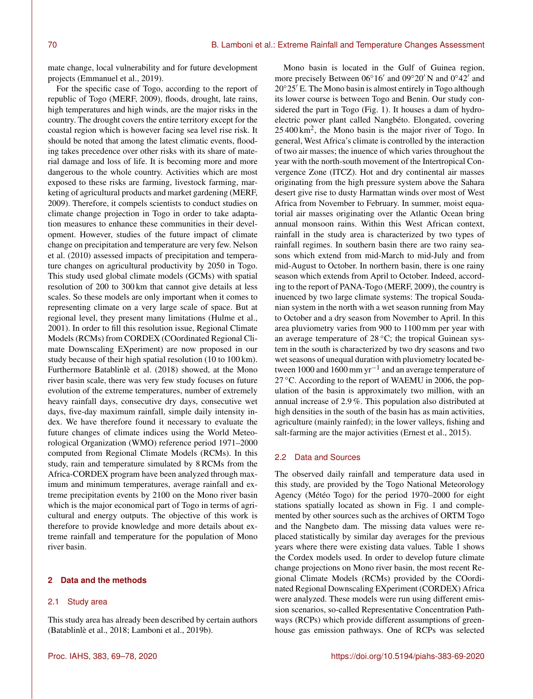mate change, local vulnerability and for future development projects (Emmanuel et al., 2019).

For the specific case of Togo, according to the report of republic of Togo (MERF, 2009), floods, drought, late rains, high temperatures and high winds, are the major risks in the country. The drought covers the entire territory except for the coastal region which is however facing sea level rise risk. It should be noted that among the latest climatic events, flooding takes precedence over other risks with its share of material damage and loss of life. It is becoming more and more dangerous to the whole country. Activities which are most exposed to these risks are farming, livestock farming, marketing of agricultural products and market gardening (MERF, 2009). Therefore, it compels scientists to conduct studies on climate change projection in Togo in order to take adaptation measures to enhance these communities in their development. However, studies of the future impact of climate change on precipitation and temperature are very few. Nelson et al. (2010) assessed impacts of precipitation and temperature changes on agricultural productivity by 2050 in Togo. This study used global climate models (GCMs) with spatial resolution of 200 to 300 km that cannot give details at less scales. So these models are only important when it comes to representing climate on a very large scale of space. But at regional level, they present many limitations (Hulme et al., 2001). In order to fill this resolution issue, Regional Climate Models (RCMs) from CORDEX (COordinated Regional Climate Downscaling EXperiment) are now proposed in our study because of their high spatial resolution (10 to 100 km). Furthermore Batablinlè et al. (2018) showed, at the Mono river basin scale, there was very few study focuses on future evolution of the extreme temperatures, number of extremely heavy rainfall days, consecutive dry days, consecutive wet days, five-day maximum rainfall, simple daily intensity index. We have therefore found it necessary to evaluate the future changes of climate indices using the World Meteorological Organization (WMO) reference period 1971–2000 computed from Regional Climate Models (RCMs). In this study, rain and temperature simulated by 8 RCMs from the Africa-CORDEX program have been analyzed through maximum and minimum temperatures, average rainfall and extreme precipitation events by 2100 on the Mono river basin which is the major economical part of Togo in terms of agricultural and energy outputs. The objective of this work is therefore to provide knowledge and more details about extreme rainfall and temperature for the population of Mono river basin.

#### **2 Data and the methods**

#### 2.1 Study area

This study area has already been described by certain authors (Batablinlè et al., 2018; Lamboni et al., 2019b).

Mono basin is located in the Gulf of Guinea region, more precisely Between 06°16' and 09°20' N and 0°42' and  $20^{\circ}25'$  E. The Mono basin is almost entirely in Togo although its lower course is between Togo and Benin. Our study considered the part in Togo (Fig. 1). It houses a dam of hydroelectric power plant called Nangbéto. Elongated, covering 25 400 km<sup>2</sup> , the Mono basin is the major river of Togo. In general, West Africa's climate is controlled by the interaction of two air masses; the inuence of which varies throughout the year with the north-south movement of the Intertropical Convergence Zone (ITCZ). Hot and dry continental air masses originating from the high pressure system above the Sahara desert give rise to dusty Harmattan winds over most of West Africa from November to February. In summer, moist equatorial air masses originating over the Atlantic Ocean bring annual monsoon rains. Within this West African context, rainfall in the study area is characterized by two types of rainfall regimes. In southern basin there are two rainy seasons which extend from mid-March to mid-July and from mid-August to October. In northern basin, there is one rainy season which extends from April to October. Indeed, according to the report of PANA-Togo (MERF, 2009), the country is inuenced by two large climate systems: The tropical Soudanian system in the north with a wet season running from May to October and a dry season from November to April. In this area pluviometry varies from 900 to 1100 mm per year with an average temperature of  $28\,^{\circ}\text{C}$ ; the tropical Guinean system in the south is characterized by two dry seasons and two wet seasons of unequal duration with pluviometry located between 1000 and 1600 mm yr−<sup>1</sup> and an average temperature of 27 °C. According to the report of WAEMU in 2006, the population of the basin is approximately two million, with an annual increase of 2.9 %. This population also distributed at high densities in the south of the basin has as main activities, agriculture (mainly rainfed); in the lower valleys, fishing and salt-farming are the major activities (Ernest et al., 2015).

#### 2.2 Data and Sources

The observed daily rainfall and temperature data used in this study, are provided by the Togo National Meteorology Agency (Météo Togo) for the period 1970–2000 for eight stations spatially located as shown in Fig. 1 and complemented by other sources such as the archives of ORTM Togo and the Nangbeto dam. The missing data values were replaced statistically by similar day averages for the previous years where there were existing data values. Table 1 shows the Cordex models used. In order to develop future climate change projections on Mono river basin, the most recent Regional Climate Models (RCMs) provided by the COordinated Regional Downscaling EXperiment (CORDEX) Africa were analyzed. These models were run using different emission scenarios, so-called Representative Concentration Pathways (RCPs) which provide different assumptions of greenhouse gas emission pathways. One of RCPs was selected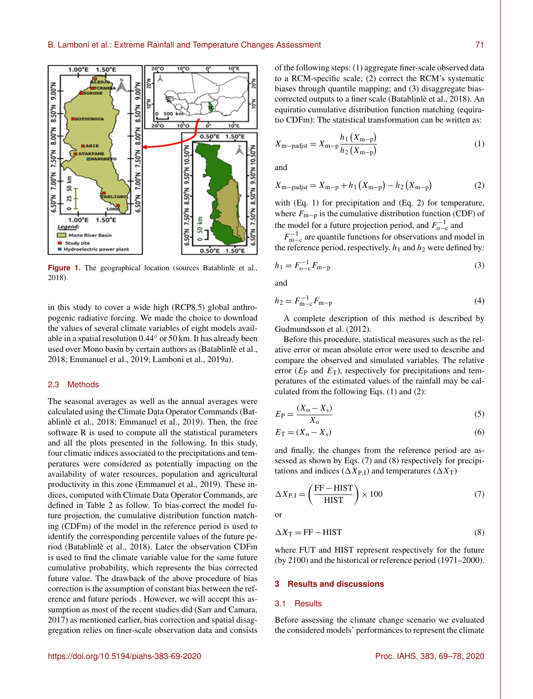

**Figure 1.** The geographical location (sources Batablinlè et al., 2018).

in this study to cover a wide high (RCP8.5) global anthropogenic radiative forcing. We made the choice to download the values of several climate variables of eight models available in a spatial resolution 0.44◦ or 50 km. It has already been used over Mono basin by certain authors as (Batablinlè et al., 2018; Emmanuel et al., 2019; Lamboni et al., 2019a).

#### 2.3 Methods

The seasonal averages as well as the annual averages were calculated using the Climate Data Operator Commands (Batablinlè et al., 2018; Emmanuel et al., 2019). Then, the free software R is used to compute all the statistical parameters and all the plots presented in the following. In this study, four climatic indices associated to the precipitations and temperatures were considered as potentially impacting on the availability of water resources, population and agricultural productivity in this zone (Emmanuel et al., 2019). These indices, computed with Climate Data Operator Commands, are defined in Table 2 as follow. To bias-correct the model future projection, the cumulative distribution function matching (CDFm) of the model in the reference period is used to identify the corresponding percentile values of the future period (Batablinlè et al., 2018). Later the observation CDFm is used to find the climate variable value for the same future cumulative probability, which represents the bias corrected future value. The drawback of the above procedure of bias correction is the assumption of constant bias between the reference and future periods . However, we will accept this assumption as most of the recent studies did (Sarr and Camara, 2017) as mentioned earlier, bias correction and spatial disaggregation relies on finer-scale observation data and consists of the following steps: (1) aggregate finer-scale observed data to a RCM-specific scale; (2) correct the RCM's systematic biases through quantile mapping; and (3) disaggregate biascorrected outputs to a finer scale (Batablinlè et al., 2018). An equiratio cumulative distribution function matching (equiratio CDFm): The statistical transformation can be written as:

$$
X_{\rm m-padjst} = X_{\rm m-p} \frac{h_1(X_{\rm m-p})}{h_2(X_{\rm m-p})}
$$
 (1)

and

$$
X_{\rm m-padist} = X_{\rm m-p} + h_1 (X_{\rm m-p}) - h_2 (X_{\rm m-p})
$$
 (2)

with (Eq. 1) for precipitation and (Eq. 2) for temperature, where  $F_{\text{m-p}}$  is the cumulative distribution function (CDF) of the model for a future projection period, and  $F_{o-c}^{-1}$  and

 $F_{m-c}^{-1}$  are quantile functions for observations and model in the reference period, respectively.  $h_1$  and  $h_2$  were defined by:

$$
h_1 = F_{0-c}^{-1} F_{m-p}
$$
 (3)

and

$$
h_2 = F_{\mathbf{m-c}}^{-1} F_{\mathbf{m-p}} \tag{4}
$$

A complete description of this method is described by Gudmundsson et al. (2012).

Before this procedure, statistical measures such as the relative error or mean absolute error were used to describe and compare the observed and simulated variables. The relative error ( $E_P$  and  $E_T$ ), respectively for precipitations and temperatures of the estimated values of the rainfall may be calculated from the following Eqs. (1) and (2):

$$
E_{\rm P} = \frac{(X_{\rm o} - X_{\rm s})}{X_{\rm o}}\tag{5}
$$

$$
E_{\rm T} = (X_{\rm o} - X_{\rm s})\tag{6}
$$

and finally, the changes from the reference period are assessed as shown by Eqs. (7) and (8) respectively for precipitations and indices ( $\Delta X_{\text{P},\text{I}}$ ) and temperatures ( $\Delta X_{\text{T}}$ )

$$
\Delta X_{\text{P,I}} = \left(\frac{\text{FF} - \text{HIST}}{\text{HIST}}\right) \times 100\tag{7}
$$

or

$$
\Delta X_{\rm T} = \rm FF - HIST \tag{8}
$$

where FUT and HIST represent respectively for the future (by 2100) and the historical or reference period (1971–2000).

#### **3 Results and discussions**

#### 3.1 Results

Before assessing the climate change scenario we evaluated the considered models' performances to represent the climate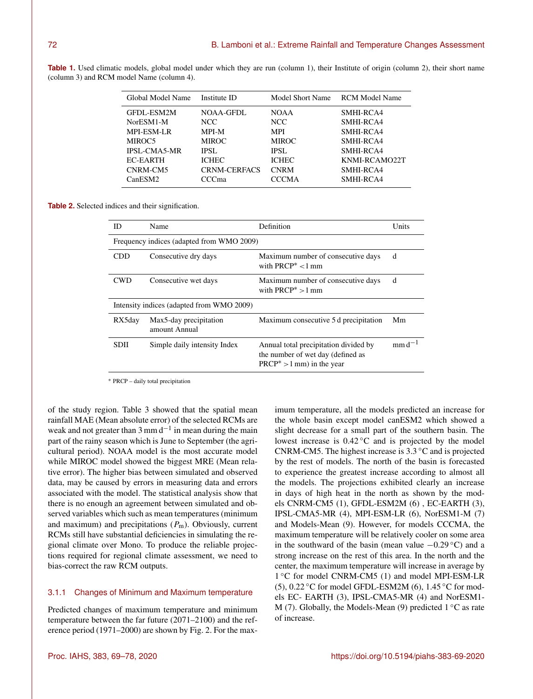| Global Model Name   | Institute ID        | Model Short Name | <b>RCM Model Name</b> |
|---------------------|---------------------|------------------|-----------------------|
| GFDL-ESM2M          | NOAA-GFDL           | <b>NOAA</b>      | SMHI-RCA4             |
| NorESM1-M           | NCC.                | NCC.             | SMHI-RCA4             |
| <b>MPI-ESM-LR</b>   | <b>MPI-M</b>        | <b>MPI</b>       | SMHI-RCA4             |
| MIROC <sub>5</sub>  | <b>MIROC</b>        | <b>MIROC</b>     | SMHI-RCA4             |
| <b>IPSL-CMA5-MR</b> | <b>IPSL</b>         | <b>IPSL</b>      | SMHI-RCA4             |
| EC-EARTH            | <b>ICHEC</b>        | <b>ICHEC</b>     | KNMI-RCAMO22T         |
| CNRM-CM5            | <b>CRNM-CERFACS</b> | <b>CNRM</b>      | SMHI-RCA4             |
| CanESM2             | CCma                | <b>CCCMA</b>     | SMHI-RCA4             |

Table 1. Used climatic models, global model under which they are run (column 1), their Institute of origin (column 2), their short name (column 3) and RCM model Name (column 4).

**Table 2.** Selected indices and their signification.

| ID                                        | Name                                      | Definition                                                                                                 | Units       |  |  |
|-------------------------------------------|-------------------------------------------|------------------------------------------------------------------------------------------------------------|-------------|--|--|
| Frequency indices (adapted from WMO 2009) |                                           |                                                                                                            |             |  |  |
| CDD                                       | Consecutive dry days                      | Maximum number of consecutive days<br>with PRCP $*$ < 1 mm                                                 | d           |  |  |
| <b>CWD</b>                                | Consecutive wet days                      | Maximum number of consecutive days<br>with PRCP $* > 1$ mm                                                 | d           |  |  |
|                                           | Intensity indices (adapted from WMO 2009) |                                                                                                            |             |  |  |
| RX5day                                    | Max5-day precipitation<br>amount Annual   | Maximum consecutive 5 d precipitation                                                                      | Mm          |  |  |
| <b>SDII</b>                               | Simple daily intensity Index              | Annual total precipitation divided by<br>the number of wet day (defined as<br>$PRCP^* > 1$ mm) in the year | $mm d^{-1}$ |  |  |

<sup>∗</sup> PRCP – daily total precipitation

of the study region. Table 3 showed that the spatial mean rainfall MAE (Mean absolute error) of the selected RCMs are weak and not greater than  $3 \text{ mm d}^{-1}$  in mean during the main part of the rainy season which is June to September (the agricultural period). NOAA model is the most accurate model while MIROC model showed the biggest MRE (Mean relative error). The higher bias between simulated and observed data, may be caused by errors in measuring data and errors associated with the model. The statistical analysis show that there is no enough an agreement between simulated and observed variables which such as mean temperatures (minimum and maximum) and precipitations  $(P_m)$ . Obviously, current RCMs still have substantial deficiencies in simulating the regional climate over Mono. To produce the reliable projections required for regional climate assessment, we need to bias-correct the raw RCM outputs.

#### 3.1.1 Changes of Minimum and Maximum temperature

Predicted changes of maximum temperature and minimum temperature between the far future (2071–2100) and the reference period (1971–2000) are shown by Fig. 2. For the maximum temperature, all the models predicted an increase for the whole basin except model canESM2 which showed a slight decrease for a small part of the southern basin. The lowest increase is 0.42 ◦C and is projected by the model CNRM-CM5. The highest increase is 3.3 ◦C and is projected by the rest of models. The north of the basin is forecasted to experience the greatest increase according to almost all the models. The projections exhibited clearly an increase in days of high heat in the north as shown by the models CNRM-CM5 (1), GFDL-ESM2M (6) , EC-EARTH (3), IPSL-CMA5-MR (4), MPI-ESM-LR (6), NorESM1-M (7) and Models-Mean (9). However, for models CCCMA, the maximum temperature will be relatively cooler on some area in the southward of the basin (mean value  $-0.29 \degree C$ ) and a strong increase on the rest of this area. In the north and the center, the maximum temperature will increase in average by 1 °C for model CNRM-CM5 (1) and model MPI-ESM-LR (5),  $0.22\degree$ C for model GFDL-ESM2M (6),  $1.45\degree$ C for models EC- EARTH (3), IPSL-CMA5-MR (4) and NorESM1- M (7). Globally, the Models-Mean (9) predicted  $1 \degree C$  as rate of increase.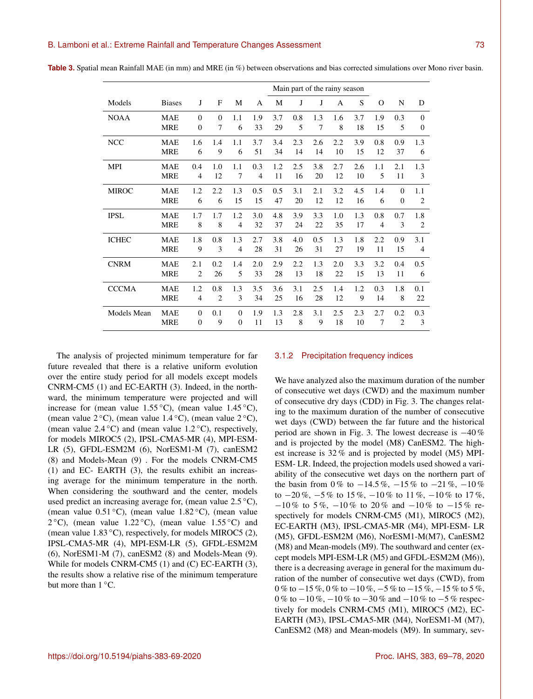|                    |               |                |                |                |     | Main part of the rainy season |     |     |     |     |                |                  |                |
|--------------------|---------------|----------------|----------------|----------------|-----|-------------------------------|-----|-----|-----|-----|----------------|------------------|----------------|
|                    |               |                |                |                |     |                               |     |     |     |     |                |                  |                |
| Models             | <b>Biases</b> | J              | F              | M              | A   | М                             | J   | J   | A   | S   | $\Omega$       | N                | D              |
| <b>NOAA</b>        | <b>MAE</b>    | $\Omega$       | $\Omega$       | 1.1            | 1.9 | 3.7                           | 0.8 | 1.3 | 1.6 | 3.7 | 1.9            | 0.3              | $\Omega$       |
|                    | <b>MRE</b>    | $\overline{0}$ | 7              | 6              | 33  | 29                            | 5   | 7   | 8   | 18  | 15             | 5                | $\theta$       |
| <b>NCC</b>         | <b>MAE</b>    | 1.6            | 1.4            | 1.1            | 3.7 | 3.4                           | 2.3 | 2.6 | 2.2 | 3.9 | 0.8            | 0.9              | 1.3            |
|                    | <b>MRE</b>    | 6              | 9              | 6              | 51  | 34                            | 14  | 14  | 10  | 15  | 12             | 37               | 6              |
| <b>MPI</b>         | <b>MAE</b>    | 0.4            | 1.0            | 1.1            | 0.3 | 1.2                           | 2.5 | 3.8 | 2.7 | 2.6 | 1.1            | 2.1              | 1.3            |
|                    | <b>MRE</b>    | $\overline{4}$ | 12             | 7              | 4   | 11                            | 16  | 20  | 12  | 10  | 5              | 11               | 3              |
| <b>MIROC</b>       | <b>MAE</b>    | 1.2            | 2.2            | 1.3            | 0.5 | 0.5                           | 3.1 | 2.1 | 3.2 | 4.5 | 1.4            | $\Omega$         | 1.1            |
|                    | <b>MRE</b>    | 6              | 6              | 15             | 15  | 47                            | 20  | 12  | 12  | 16  | 6              | $\boldsymbol{0}$ | $\overline{2}$ |
| <b>IPSL</b>        | <b>MAE</b>    | 1.7            | 1.7            | 1.2            | 3.0 | 4.8                           | 3.9 | 3.3 | 1.0 | 1.3 | 0.8            | 0.7              | 1.8            |
|                    | <b>MRE</b>    | 8              | 8              | $\overline{4}$ | 32  | 37                            | 24  | 22  | 35  | 17  | $\overline{4}$ | 3                | $\overline{2}$ |
| <b>ICHEC</b>       | <b>MAE</b>    | 1.8            | 0.8            | 1.3            | 2.7 | 3.8                           | 4.0 | 0.5 | 1.3 | 1.8 | 2.2            | 0.9              | 3.1            |
|                    | <b>MRE</b>    | 9              | 3              | $\overline{4}$ | 28  | 31                            | 26  | 31  | 27  | 19  | 11             | 15               | $\overline{4}$ |
| <b>CNRM</b>        | <b>MAE</b>    | 2.1            | 0.2            | 1.4            | 2.0 | 2.9                           | 2.2 | 1.3 | 2.0 | 3.3 | 3.2            | 0.4              | 0.5            |
|                    | <b>MRE</b>    | $\overline{2}$ | 26             | 5              | 33  | 28                            | 13  | 18  | 22  | 15  | 13             | 11               | 6              |
| <b>CCCMA</b>       | <b>MAE</b>    | 1.2            | 0.8            | 1.3            | 3.5 | 3.6                           | 3.1 | 2.5 | 1.4 | 1.2 | 0.3            | 1.8              | 0.1            |
|                    | <b>MRE</b>    | $\overline{4}$ | $\overline{c}$ | 3              | 34  | 25                            | 16  | 28  | 12  | 9   | 14             | 8                | 22             |
| <b>Models Mean</b> | <b>MAE</b>    | $\mathbf{0}$   | 0.1            | $\Omega$       | 1.9 | 1.3                           | 2.8 | 3.1 | 2.5 | 2.3 | 2.7            | 0.2              | 0.3            |
|                    | <b>MRE</b>    | $\overline{0}$ | 9              | $\overline{0}$ | 11  | 13                            | 8   | 9   | 18  | 10  | 7              | $\overline{2}$   | 3              |

**Table 3.** Spatial mean Rainfall MAE (in mm) and MRE (in %) between observations and bias corrected simulations over Mono river basin.

The analysis of projected minimum temperature for far future revealed that there is a relative uniform evolution over the entire study period for all models except models CNRM-CM5 (1) and EC-EARTH (3). Indeed, in the northward, the minimum temperature were projected and will increase for (mean value  $1.55\,^{\circ}\text{C}$ ), (mean value  $1.45\,^{\circ}\text{C}$ ), (mean value  $2 °C$ ), (mean value 1.4 °C), (mean value  $2 °C$ ), (mean value  $2.4\textdegree C$ ) and (mean value  $1.2\textdegree C$ ), respectively, for models MIROC5 (2), IPSL-CMA5-MR (4), MPI-ESM-LR (5), GFDL-ESM2M (6), NorESM1-M (7), canESM2 (8) and Models-Mean (9) . For the models CNRM-CM5 (1) and EC- EARTH (3), the results exhibit an increasing average for the minimum temperature in the north. When considering the southward and the center, models used predict an increasing average for, (mean value  $2.5\textdegree C$ ), (mean value 0.51 ◦C), (mean value 1.82 ◦C), (mean value  $2^{\circ}$ C), (mean value 1.22 °C), (mean value 1.55 °C) and (mean value  $1.83 \text{ °C}$ ), respectively, for models MIROC5 (2), IPSL-CMA5-MR (4), MPI-ESM-LR (5), GFDL-ESM2M (6), NorESM1-M (7), canESM2 (8) and Models-Mean (9). While for models CNRM-CM5 (1) and (C) EC-EARTH (3), the results show a relative rise of the minimum temperature but more than  $1 \degree C$ .

#### 3.1.2 Precipitation frequency indices

We have analyzed also the maximum duration of the number of consecutive wet days (CWD) and the maximum number of consecutive dry days (CDD) in Fig. 3. The changes relating to the maximum duration of the number of consecutive wet days (CWD) between the far future and the historical period are shown in Fig. 3. The lowest decrease is −40 % and is projected by the model (M8) CanESM2. The highest increase is 32 % and is projected by model (M5) MPI-ESM- LR. Indeed, the projection models used showed a variability of the consecutive wet days on the northern part of the basin from 0% to  $-14.5\%$ ,  $-15\%$  to  $-21\%$ ,  $-10\%$ to  $-20\%$ ,  $-5\%$  to  $15\%$ ,  $-10\%$  to  $11\%$ ,  $-10\%$  to  $17\%$ ,  $-10\%$  to 5%,  $-10\%$  to 20% and  $-10\%$  to  $-15\%$  respectively for models CNRM-CM5 (M1), MIROC5 (M2), EC-EARTH (M3), IPSL-CMA5-MR (M4), MPI-ESM- LR (M5), GFDL-ESM2M (M6), NorESM1-M(M7), CanESM2 (M8) and Mean-models (M9). The southward and center (except models MPI-ESM-LR (M5) and GFDL-ESM2M (M6)), there is a decreasing average in general for the maximum duration of the number of consecutive wet days (CWD), from 0 % to  $-15$  %, 0 % to  $-10$  %,  $-5$  % to  $-15$  %,  $-15$  % to 5 %, 0 % to  $-10$  %,  $-10$  % to  $-30$  % and  $-10$  % to  $-5$  % respectively for models CNRM-CM5 (M1), MIROC5 (M2), EC-EARTH (M3), IPSL-CMA5-MR (M4), NorESM1-M (M7), CanESM2 (M8) and Mean-models (M9). In summary, sev-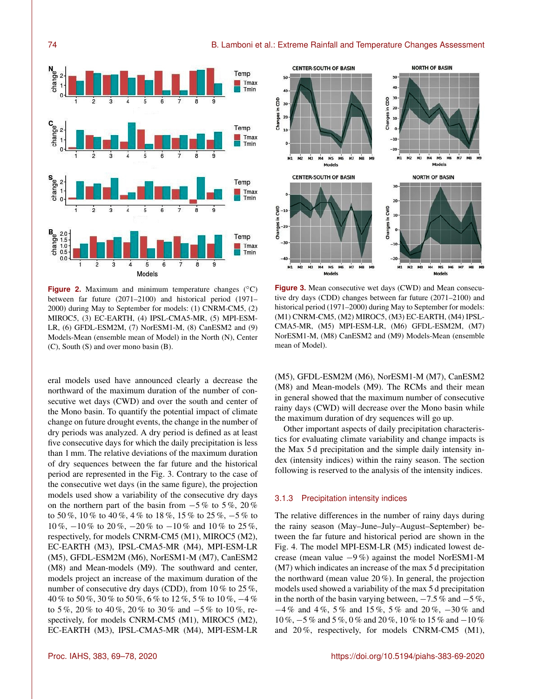

**Figure 2.** Maximum and minimum temperature changes ( $\degree$ C) between far future (2071–2100) and historical period (1971– 2000) during May to September for models: (1) CNRM-CM5, (2) MIROC5, (3) EC-EARTH, (4) IPSL-CMA5-MR, (5) MPI-ESM-LR, (6) GFDL-ESM2M, (7) NorESM1-M, (8) CanESM2 and (9) Models-Mean (ensemble mean of Model) in the North (N), Center (C), South (S) and over mono basin (B).

eral models used have announced clearly a decrease the northward of the maximum duration of the number of consecutive wet days (CWD) and over the south and center of the Mono basin. To quantify the potential impact of climate change on future drought events, the change in the number of dry periods was analyzed. A dry period is defined as at least five consecutive days for which the daily precipitation is less than 1 mm. The relative deviations of the maximum duration of dry sequences between the far future and the historical period are represented in the Fig. 3. Contrary to the case of the consecutive wet days (in the same figure), the projection models used show a variability of the consecutive dry days on the northern part of the basin from  $-5\%$  to  $5\%$ , 20 % to 50 %, 10 % to 40 %, 4 % to 18 %, 15 % to 25 %, −5 % to 10 %, −10 % to 20 %, −20 % to −10 % and 10 % to 25 %, respectively, for models CNRM-CM5 (M1), MIROC5 (M2), EC-EARTH (M3), IPSL-CMA5-MR (M4), MPI-ESM-LR (M5), GFDL-ESM2M (M6), NorESM1-M (M7), CanESM2 (M8) and Mean-models (M9). The southward and center, models project an increase of the maximum duration of the number of consecutive dry days (CDD), from 10 % to 25 %, 40 % to 50 %, 30 % to 50 %, 6 % to 12 %, 5 % to 10 %, −4 % to 5 %, 20 % to 40 %, 20 % to 30 % and −5 % to 10 %, respectively, for models CNRM-CM5 (M1), MIROC5 (M2), EC-EARTH (M3), IPSL-CMA5-MR (M4), MPI-ESM-LR



**Figure 3.** Mean consecutive wet days (CWD) and Mean consecutive dry days (CDD) changes between far future (2071–2100) and historical period (1971–2000) during May to September for models: (M1) CNRM-CM5, (M2) MIROC5, (M3) EC-EARTH, (M4) IPSL-CMA5-MR, (M5) MPI-ESM-LR, (M6) GFDL-ESM2M, (M7) NorESM1-M, (M8) CanESM2 and (M9) Models-Mean (ensemble mean of Model).

(M5), GFDL-ESM2M (M6), NorESM1-M (M7), CanESM2 (M8) and Mean-models (M9). The RCMs and their mean in general showed that the maximum number of consecutive rainy days (CWD) will decrease over the Mono basin while the maximum duration of dry sequences will go up.

Other important aspects of daily precipitation characteristics for evaluating climate variability and change impacts is the Max 5 d precipitation and the simple daily intensity index (intensity indices) within the rainy season. The section following is reserved to the analysis of the intensity indices.

## 3.1.3 Precipitation intensity indices

The relative differences in the number of rainy days during the rainy season (May–June–July–August–September) between the far future and historical period are shown in the Fig. 4. The model MPI-ESM-LR (M5) indicated lowest decrease (mean value −9 %) against the model NorESM1-M (M7) which indicates an increase of the max 5 d precipitation the northward (mean value 20 %). In general, the projection models used showed a variability of the max 5 d precipitation in the north of the basin varying between,  $-7.5\%$  and  $-5\%$ , −4 % and 4 %, 5 % and 15 %, 5 % and 20 %, −30 % and 10 %, −5 % and 5 %, 0 % and 20 %, 10 % to 15 % and −10 % and 20 %, respectively, for models CNRM-CM5 (M1),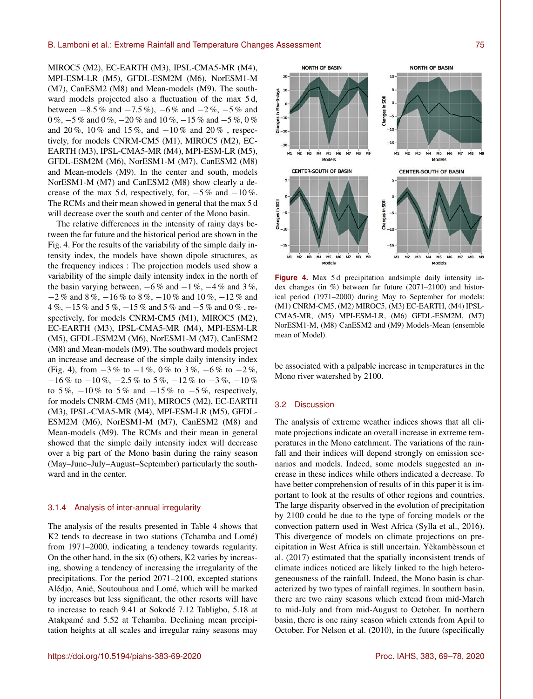MIROC5 (M2), EC-EARTH (M3), IPSL-CMA5-MR (M4), MPI-ESM-LR (M5), GFDL-ESM2M (M6), NorESM1-M (M7), CanESM2 (M8) and Mean-models (M9). The southward models projected also a fluctuation of the max 5 d, between  $-8.5\%$  and  $-7.5\%$ ),  $-6\%$  and  $-2\%$ ,  $-5\%$  and 0 %, −5 % and 0 %, −20 % and 10 %, −15 % and −5 %, 0 % and 20 %, 10 % and 15 %, and −10 % and 20 % , respectively, for models CNRM-CM5 (M1), MIROC5 (M2), EC-EARTH (M3), IPSL-CMA5-MR (M4), MPI-ESM-LR (M5), GFDL-ESM2M (M6), NorESM1-M (M7), CanESM2 (M8) and Mean-models (M9). In the center and south, models NorESM1-M (M7) and CanESM2 (M8) show clearly a decrease of the max 5 d, respectively, for,  $-5\%$  and  $-10\%$ . The RCMs and their mean showed in general that the max 5 d will decrease over the south and center of the Mono basin.

The relative differences in the intensity of rainy days between the far future and the historical period are shown in the Fig. 4. For the results of the variability of the simple daily intensity index, the models have shown dipole structures, as the frequency indices : The projection models used show a variability of the simple daily intensity index in the north of the basin varying between,  $-6\%$  and  $-1\%$ ,  $-4\%$  and 3 $\%$ , −2 % and 8 %, −16 % to 8 %, −10 % and 10 %, −12 % and 4 %, −15 % and 5 %, −15 % and 5 % and −5 % and 0 % , respectively, for models CNRM-CM5 (M1), MIROC5 (M2), EC-EARTH (M3), IPSL-CMA5-MR (M4), MPI-ESM-LR (M5), GFDL-ESM2M (M6), NorESM1-M (M7), CanESM2 (M8) and Mean-models (M9). The southward models project an increase and decrease of the simple daily intensity index (Fig. 4), from  $-3\%$  to  $-1\%$ , 0% to  $3\%$ ,  $-6\%$  to  $-2\%$ ,  $-16\%$  to  $-10\%$ ,  $-2.5\%$  to  $5\%$ ,  $-12\%$  to  $-3\%$ ,  $-10\%$ to 5%,  $-10\%$  to 5% and  $-15\%$  to  $-5\%$ , respectively, for models CNRM-CM5 (M1), MIROC5 (M2), EC-EARTH (M3), IPSL-CMA5-MR (M4), MPI-ESM-LR (M5), GFDL-ESM2M (M6), NorESM1-M (M7), CanESM2 (M8) and Mean-models (M9). The RCMs and their mean in general showed that the simple daily intensity index will decrease over a big part of the Mono basin during the rainy season (May–June–July–August–September) particularly the southward and in the center.

### 3.1.4 Analysis of inter-annual irregularity

The analysis of the results presented in Table 4 shows that K2 tends to decrease in two stations (Tchamba and Lomé) from 1971–2000, indicating a tendency towards regularity. On the other hand, in the six (6) others, K2 varies by increasing, showing a tendency of increasing the irregularity of the precipitations. For the period 2071–2100, excepted stations Alédjo, Anié, Soutouboua and Lomé, which will be marked by increases but less significant, the other resorts will have to increase to reach 9.41 at Sokodé 7.12 Tabligbo, 5.18 at Atakpamé and 5.52 at Tchamba. Declining mean precipitation heights at all scales and irregular rainy seasons may



Figure 4. Max 5d precipitation and simple daily intensity index changes (in %) between far future (2071–2100) and historical period (1971–2000) during May to September for models: (M1) CNRM-CM5, (M2) MIROC5, (M3) EC-EARTH, (M4) IPSL-CMA5-MR, (M5) MPI-ESM-LR, (M6) GFDL-ESM2M, (M7) NorESM1-M, (M8) CanESM2 and (M9) Models-Mean (ensemble mean of Model).

be associated with a palpable increase in temperatures in the Mono river watershed by 2100.

### 3.2 Discussion

The analysis of extreme weather indices shows that all climate projections indicate an overall increase in extreme temperatures in the Mono catchment. The variations of the rainfall and their indices will depend strongly on emission scenarios and models. Indeed, some models suggested an increase in these indices while others indicated a decrease. To have better comprehension of results of in this paper it is important to look at the results of other regions and countries. The large disparity observed in the evolution of precipitation by 2100 could be due to the type of forcing models or the convection pattern used in West Africa (Sylla et al., 2016). This divergence of models on climate projections on precipitation in West Africa is still uncertain. Yèkambèssoun et al. (2017) estimated that the spatially inconsistent trends of climate indices noticed are likely linked to the high heterogeneousness of the rainfall. Indeed, the Mono basin is characterized by two types of rainfall regimes. In southern basin, there are two rainy seasons which extend from mid-March to mid-July and from mid-August to October. In northern basin, there is one rainy season which extends from April to October. For Nelson et al. (2010), in the future (specifically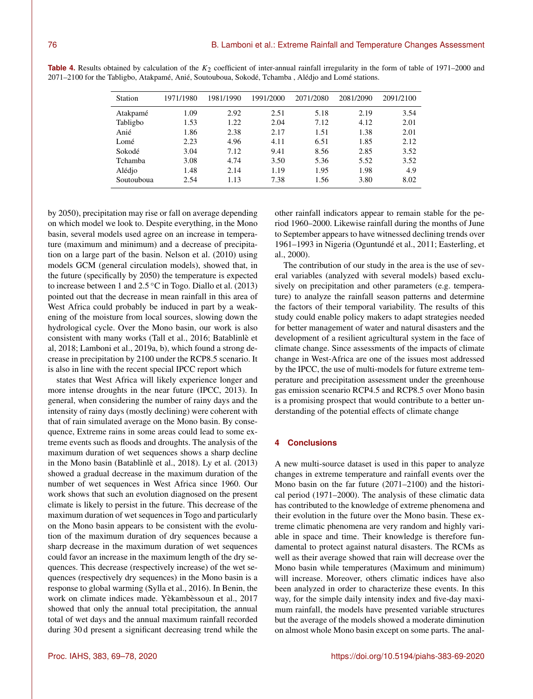| Station    | 1971/1980 | 1981/1990 | 1991/2000 | 2071/2080 | 2081/2090 | 2091/2100 |
|------------|-----------|-----------|-----------|-----------|-----------|-----------|
| Atakpamé   | 1.09      | 2.92      | 2.51      | 5.18      | 2.19      | 3.54      |
| Tabligbo   | 1.53      | 1.22      | 2.04      | 7.12      | 4.12      | 2.01      |
| Anié       | 1.86      | 2.38      | 2.17      | 1.51      | 1.38      | 2.01      |
| Lomé       | 2.23      | 4.96      | 4.11      | 6.51      | 1.85      | 2.12      |
| Sokodé     | 3.04      | 7.12      | 9.41      | 8.56      | 2.85      | 3.52      |
| Tchamba    | 3.08      | 4.74      | 3.50      | 5.36      | 5.52      | 3.52      |
| Alédio     | 1.48      | 2.14      | 1.19      | 1.95      | 1.98      | 4.9       |
| Soutouboua | 2.54      | 1.13      | 7.38      | 1.56      | 3.80      | 8.02      |
|            |           |           |           |           |           |           |

**Table 4.** Results obtained by calculation of the  $K_2$  coefficient of inter-annual rainfall irregularity in the form of table of 1971–2000 and 2071–2100 for the Tabligbo, Atakpamé, Anié, Soutouboua, Sokodé, Tchamba , Alédjo and Lomé stations.

by 2050), precipitation may rise or fall on average depending on which model we look to. Despite everything, in the Mono basin, several models used agree on an increase in temperature (maximum and minimum) and a decrease of precipitation on a large part of the basin. Nelson et al. (2010) using models GCM (general circulation models), showed that, in the future (specifically by 2050) the temperature is expected to increase between 1 and  $2.5\textdegree C$  in Togo. Diallo et al. (2013) pointed out that the decrease in mean rainfall in this area of West Africa could probably be induced in part by a weakening of the moisture from local sources, slowing down the hydrological cycle. Over the Mono basin, our work is also consistent with many works (Tall et al., 2016; Batablinlè et al, 2018; Lamboni et al., 2019a, b), which found a strong decrease in precipitation by 2100 under the RCP8.5 scenario. It is also in line with the recent special IPCC report which

states that West Africa will likely experience longer and more intense droughts in the near future (IPCC, 2013). In general, when considering the number of rainy days and the intensity of rainy days (mostly declining) were coherent with that of rain simulated average on the Mono basin. By consequence, Extreme rains in some areas could lead to some extreme events such as floods and droughts. The analysis of the maximum duration of wet sequences shows a sharp decline in the Mono basin (Batablinlè et al., 2018). Ly et al. (2013) showed a gradual decrease in the maximum duration of the number of wet sequences in West Africa since 1960. Our work shows that such an evolution diagnosed on the present climate is likely to persist in the future. This decrease of the maximum duration of wet sequences in Togo and particularly on the Mono basin appears to be consistent with the evolution of the maximum duration of dry sequences because a sharp decrease in the maximum duration of wet sequences could favor an increase in the maximum length of the dry sequences. This decrease (respectively increase) of the wet sequences (respectively dry sequences) in the Mono basin is a response to global warming (Sylla et al., 2016). In Benin, the work on climate indices made. Yèkambèssoun et al., 2017 showed that only the annual total precipitation, the annual total of wet days and the annual maximum rainfall recorded during 30 d present a significant decreasing trend while the other rainfall indicators appear to remain stable for the period 1960–2000. Likewise rainfall during the months of June to September appears to have witnessed declining trends over 1961–1993 in Nigeria (Oguntundé et al., 2011; Easterling, et al., 2000).

The contribution of our study in the area is the use of several variables (analyzed with several models) based exclusively on precipitation and other parameters (e.g. temperature) to analyze the rainfall season patterns and determine the factors of their temporal variability. The results of this study could enable policy makers to adapt strategies needed for better management of water and natural disasters and the development of a resilient agricultural system in the face of climate change. Since assessments of the impacts of climate change in West-Africa are one of the issues most addressed by the IPCC, the use of multi-models for future extreme temperature and precipitation assessment under the greenhouse gas emission scenario RCP4.5 and RCP8.5 over Mono basin is a promising prospect that would contribute to a better understanding of the potential effects of climate change

## **4 Conclusions**

A new multi-source dataset is used in this paper to analyze changes in extreme temperature and rainfall events over the Mono basin on the far future (2071–2100) and the historical period (1971–2000). The analysis of these climatic data has contributed to the knowledge of extreme phenomena and their evolution in the future over the Mono basin. These extreme climatic phenomena are very random and highly variable in space and time. Their knowledge is therefore fundamental to protect against natural disasters. The RCMs as well as their average showed that rain will decrease over the Mono basin while temperatures (Maximum and minimum) will increase. Moreover, others climatic indices have also been analyzed in order to characterize these events. In this way, for the simple daily intensity index and five-day maximum rainfall, the models have presented variable structures but the average of the models showed a moderate diminution on almost whole Mono basin except on some parts. The anal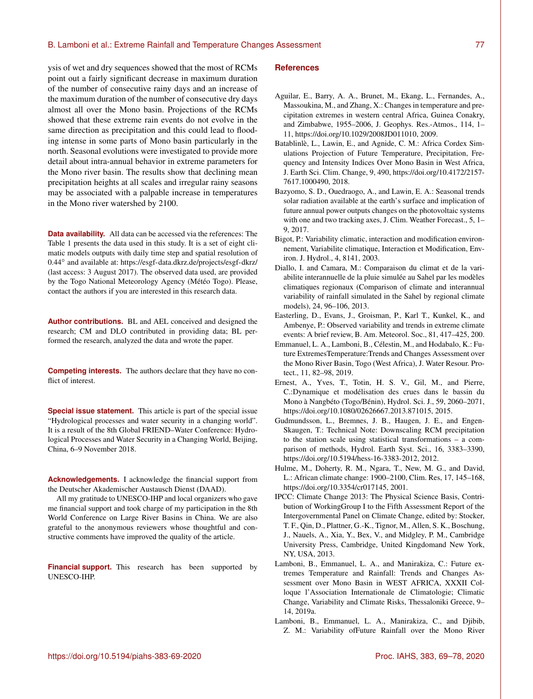ysis of wet and dry sequences showed that the most of RCMs point out a fairly significant decrease in maximum duration of the number of consecutive rainy days and an increase of the maximum duration of the number of consecutive dry days almost all over the Mono basin. Projections of the RCMs showed that these extreme rain events do not evolve in the same direction as precipitation and this could lead to flooding intense in some parts of Mono basin particularly in the north. Seasonal evolutions were investigated to provide more detail about intra-annual behavior in extreme parameters for the Mono river basin. The results show that declining mean precipitation heights at all scales and irregular rainy seasons may be associated with a palpable increase in temperatures in the Mono river watershed by 2100.

**Data availability.** All data can be accessed via the references: The Table 1 presents the data used in this study. It is a set of eight climatic models outputs with daily time step and spatial resolution of 0.44◦ and available at: <https://esgf-data.dkrz.de/projects/esgf-dkrz/> (last access: 3 August 2017). The observed data used, are provided by the Togo National Meteorology Agency (Météo Togo). Please, contact the authors if you are interested in this research data.

**Author contributions.** BL and AEL conceived and designed the research; CM and DLO contributed in providing data; BL performed the research, analyzed the data and wrote the paper.

**Competing interests.** The authors declare that they have no conflict of interest.

**Special issue statement.** This article is part of the special issue "Hydrological processes and water security in a changing world". It is a result of the 8th Global FRIEND–Water Conference: Hydrological Processes and Water Security in a Changing World, Beijing, China, 6–9 November 2018.

**Acknowledgements.** I acknowledge the financial support from the Deutscher Akademischer Austausch Dienst (DAAD).

All my gratitude to UNESCO-IHP and local organizers who gave me financial support and took charge of my participation in the 8th World Conference on Large River Basins in China. We are also grateful to the anonymous reviewers whose thoughtful and constructive comments have improved the quality of the article.

**Financial support.** This research has been supported by UNESCO-IHP.

#### **References**

- Aguilar, E., Barry, A. A., Brunet, M., Ekang, L., Fernandes, A., Massoukina, M., and Zhang, X.: Changes in temperature and precipitation extremes in western central Africa, Guinea Conakry, and Zimbabwe, 1955–2006, J. Geophys. Res.-Atmos., 114, 1– 11, https://doi.org[/10.1029/2008JD011010,](https://doi.org/10.1029/2008JD011010) 2009.
- Batablinlè, L., Lawin, E., and Agnide, C. M.: Africa Cordex Simulations Projection of Future Temperature, Precipitation, Frequency and Intensity Indices Over Mono Basin in West Africa, J. Earth Sci. Clim. Change, 9, 490, https://doi.org[/10.4172/2157-](https://doi.org/10.4172/2157-7617.1000490) [7617.1000490,](https://doi.org/10.4172/2157-7617.1000490) 2018.
- Bazyomo, S. D., Ouedraogo, A., and Lawin, E. A.: Seasonal trends solar radiation available at the earth's surface and implication of future annual power outputs changes on the photovoltaic systems with one and two tracking axes, J. Clim. Weather Forecast., 5, 1– 9, 2017.
- Bigot, P.: Variability climatic, interaction and modification environnement, Variabilite climatique, Interaction et Modification, Environ. J. Hydrol., 4, 8141, 2003.
- Diallo, I. and Camara, M.: Comparaison du climat et de la variabilite interannuelle de la pluie simulée au Sahel par les modèles climatiques regionaux (Comparison of climate and interannual variability of rainfall simulated in the Sahel by regional climate models), 24, 96–106, 2013.
- Easterling, D., Evans, J., Groisman, P., Karl T., Kunkel, K., and Ambenye, P.: Observed variability and trends in extreme climate events: A brief review, B. Am. Meteorol. Soc., 81, 417–425, 200.
- Emmanuel, L. A., Lamboni, B., Célestin, M., and Hodabalo, K.: Future ExtremesTemperature:Trends and Changes Assessment over the Mono River Basin, Togo (West Africa), J. Water Resour. Protect., 11, 82–98, 2019.
- Ernest, A., Yves, T., Totin, H. S. V., Gil, M., and Pierre, C.:Dynamique et modélisation des crues dans le bassin du Mono à Nangbéto (Togo/Bénin), Hydrol. Sci. J., 59, 2060–2071, https://doi.org[/10.1080/02626667.2013.871015,](https://doi.org/10.1080/02626667.2013.871015) 2015.
- Gudmundsson, L., Bremnes, J. B., Haugen, J. E., and Engen-Skaugen, T.: Technical Note: Downscaling RCM precipitation to the station scale using statistical transformations – a comparison of methods, Hydrol. Earth Syst. Sci., 16, 3383–3390, https://doi.org[/10.5194/hess-16-3383-2012,](https://doi.org/10.5194/hess-16-3383-2012) 2012.
- Hulme, M., Doherty, R. M., Ngara, T., New, M. G., and David, L.: African climate change: 1900–2100, Clim. Res, 17, 145–168, https://doi.org[/10.3354/cr017145,](https://doi.org/10.3354/cr017145) 2001.
- IPCC: Climate Change 2013: The Physical Science Basis, Contribution of WorkingGroup I to the Fifth Assessment Report of the Intergovernmental Panel on Climate Change, edited by: Stocker, T. F., Qin, D., Plattner, G.-K., Tignor, M., Allen, S. K., Boschung, J., Nauels, A., Xia, Y., Bex, V., and Midgley, P. M., Cambridge University Press, Cambridge, United Kingdomand New York, NY, USA, 2013.
- Lamboni, B., Emmanuel, L. A., and Manirakiza, C.: Future extremes Temperature and Rainfall: Trends and Changes Assessment over Mono Basin in WEST AFRICA, XXXII Colloque l'Association Internationale de Climatologie; Climatic Change, Variability and Climate Risks, Thessaloniki Greece, 9– 14, 2019a.
- Lamboni, B., Emmanuel, L. A., Manirakiza, C., and Djibib, Z. M.: Variability ofFuture Rainfall over the Mono River